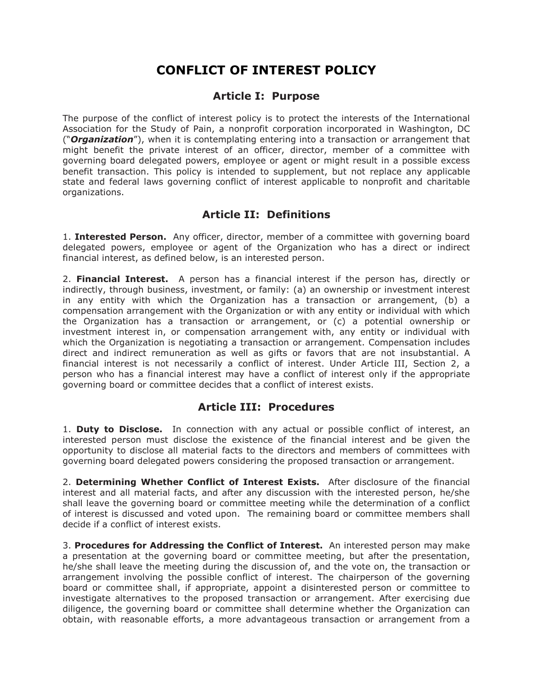# **CONFLICT OF INTEREST POLICY**

#### **Article I: Purpose**

The purpose of the conflict of interest policy is to protect the interests of the International Association for the Study of Pain, a nonprofit corporation incorporated in Washington, DC ("*Organization*"), when it is contemplating entering into a transaction or arrangement that might benefit the private interest of an officer, director, member of a committee with governing board delegated powers, employee or agent or might result in a possible excess benefit transaction. This policy is intended to supplement, but not replace any applicable state and federal laws governing conflict of interest applicable to nonprofit and charitable organizations.

## **Article II: Definitions**

1. **Interested Person.** Any officer, director, member of a committee with governing board delegated powers, employee or agent of the Organization who has a direct or indirect financial interest, as defined below, is an interested person.

2. **Financial Interest.** A person has a financial interest if the person has, directly or indirectly, through business, investment, or family: (a) an ownership or investment interest in any entity with which the Organization has a transaction or arrangement, (b) a compensation arrangement with the Organization or with any entity or individual with which the Organization has a transaction or arrangement, or (c) a potential ownership or investment interest in, or compensation arrangement with, any entity or individual with which the Organization is negotiating a transaction or arrangement. Compensation includes direct and indirect remuneration as well as gifts or favors that are not insubstantial. A financial interest is not necessarily a conflict of interest. Under Article III, Section 2, a person who has a financial interest may have a conflict of interest only if the appropriate governing board or committee decides that a conflict of interest exists.

## **Article III: Procedures**

1. **Duty to Disclose.** In connection with any actual or possible conflict of interest, an interested person must disclose the existence of the financial interest and be given the opportunity to disclose all material facts to the directors and members of committees with governing board delegated powers considering the proposed transaction or arrangement.

2. **Determining Whether Conflict of Interest Exists.** After disclosure of the financial interest and all material facts, and after any discussion with the interested person, he/she shall leave the governing board or committee meeting while the determination of a conflict of interest is discussed and voted upon. The remaining board or committee members shall decide if a conflict of interest exists.

3. **Procedures for Addressing the Conflict of Interest.** An interested person may make a presentation at the governing board or committee meeting, but after the presentation, he/she shall leave the meeting during the discussion of, and the vote on, the transaction or arrangement involving the possible conflict of interest. The chairperson of the governing board or committee shall, if appropriate, appoint a disinterested person or committee to investigate alternatives to the proposed transaction or arrangement. After exercising due diligence, the governing board or committee shall determine whether the Organization can obtain, with reasonable efforts, a more advantageous transaction or arrangement from a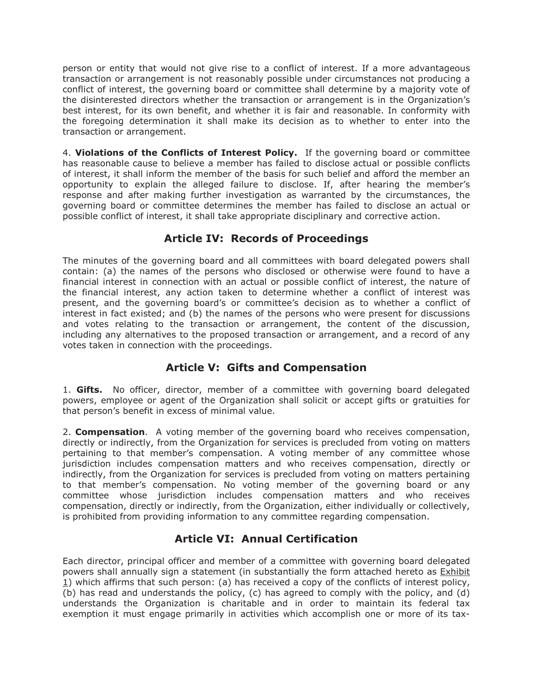person or entity that would not give rise to a conflict of interest. If a more advantageous transaction or arrangement is not reasonably possible under circumstances not producing a conflict of interest, the governing board or committee shall determine by a majority vote of the disinterested directors whether the transaction or arrangement is in the Organization's best interest, for its own benefit, and whether it is fair and reasonable. In conformity with the foregoing determination it shall make its decision as to whether to enter into the transaction or arrangement.

4. **Violations of the Conflicts of Interest Policy.** If the governing board or committee has reasonable cause to believe a member has failed to disclose actual or possible conflicts of interest, it shall inform the member of the basis for such belief and afford the member an opportunity to explain the alleged failure to disclose. If, after hearing the member's response and after making further investigation as warranted by the circumstances, the governing board or committee determines the member has failed to disclose an actual or possible conflict of interest, it shall take appropriate disciplinary and corrective action.

# **Article IV: Records of Proceedings**

The minutes of the governing board and all committees with board delegated powers shall contain: (a) the names of the persons who disclosed or otherwise were found to have a financial interest in connection with an actual or possible conflict of interest, the nature of the financial interest, any action taken to determine whether a conflict of interest was present, and the governing board's or committee's decision as to whether a conflict of interest in fact existed; and (b) the names of the persons who were present for discussions and votes relating to the transaction or arrangement, the content of the discussion, including any alternatives to the proposed transaction or arrangement, and a record of any votes taken in connection with the proceedings.

## **Article V: Gifts and Compensation**

1. **Gifts.** No officer, director, member of a committee with governing board delegated powers, employee or agent of the Organization shall solicit or accept gifts or gratuities for that person's benefit in excess of minimal value.

2. **Compensation**. A voting member of the governing board who receives compensation, directly or indirectly, from the Organization for services is precluded from voting on matters pertaining to that member's compensation. A voting member of any committee whose jurisdiction includes compensation matters and who receives compensation, directly or indirectly, from the Organization for services is precluded from voting on matters pertaining to that member's compensation. No voting member of the governing board or any committee whose jurisdiction includes compensation matters and who receives compensation, directly or indirectly, from the Organization, either individually or collectively, is prohibited from providing information to any committee regarding compensation.

## **Article VI: Annual Certification**

Each director, principal officer and member of a committee with governing board delegated powers shall annually sign a statement (in substantially the form attached hereto as Exhibit 1) which affirms that such person: (a) has received a copy of the conflicts of interest policy, (b) has read and understands the policy, (c) has agreed to comply with the policy, and (d) understands the Organization is charitable and in order to maintain its federal tax exemption it must engage primarily in activities which accomplish one or more of its tax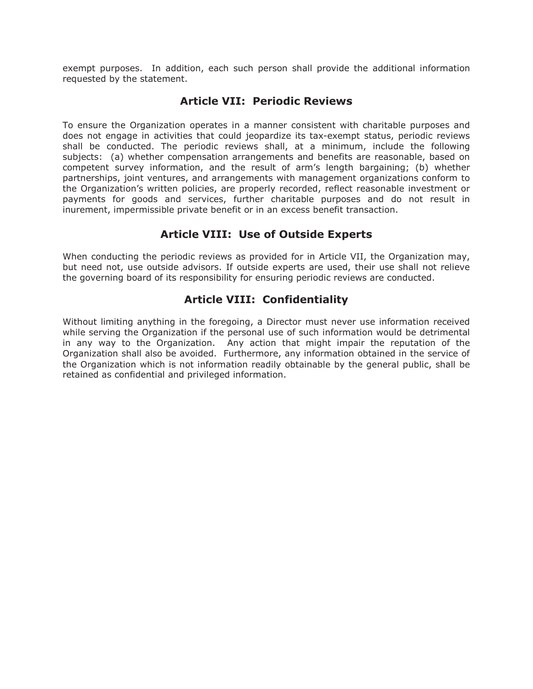exempt purposes. In addition, each such person shall provide the additional information requested by the statement.

## **Article VII: Periodic Reviews**

To ensure the Organization operates in a manner consistent with charitable purposes and does not engage in activities that could jeopardize its tax-exempt status, periodic reviews shall be conducted. The periodic reviews shall, at a minimum, include the following subjects: (a) whether compensation arrangements and benefits are reasonable, based on competent survey information, and the result of arm's length bargaining; (b) whether partnerships, joint ventures, and arrangements with management organizations conform to the Organization's written policies, are properly recorded, reflect reasonable investment or payments for goods and services, further charitable purposes and do not result in inurement, impermissible private benefit or in an excess benefit transaction.

## **Article VIII: Use of Outside Experts**

When conducting the periodic reviews as provided for in Article VII, the Organization may, but need not, use outside advisors. If outside experts are used, their use shall not relieve the governing board of its responsibility for ensuring periodic reviews are conducted.

# **Article VIII: Confidentiality**

Without limiting anything in the foregoing, a Director must never use information received while serving the Organization if the personal use of such information would be detrimental in any way to the Organization. Any action that might impair the reputation of the Organization shall also be avoided. Furthermore, any information obtained in the service of the Organization which is not information readily obtainable by the general public, shall be retained as confidential and privileged information.